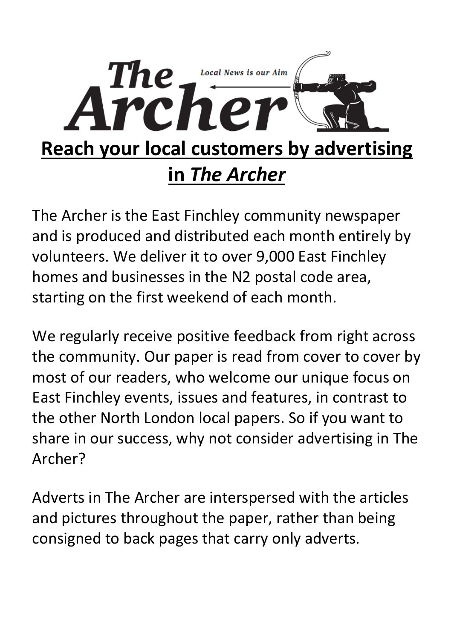

The Archer is the East Finchley community newspaper and is produced and distributed each month entirely by volunteers. We deliver it to over 9,000 East Finchley homes and businesses in the N2 postal code area, starting on the first weekend of each month.

We regularly receive positive feedback from right across the community. Our paper is read from cover to cover by most of our readers, who welcome our unique focus on East Finchley events, issues and features, in contrast to the other North London local papers. So if you want to share in our success, why not consider advertising in The Archer?

Adverts in The Archer are interspersed with the articles and pictures throughout the paper, rather than being consigned to back pages that carry only adverts.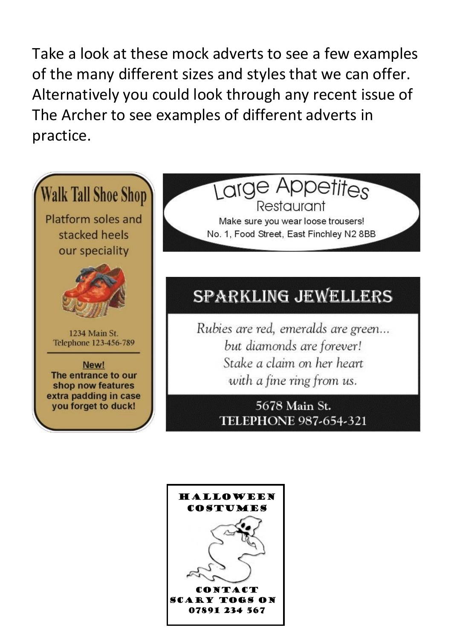Take a look at these mock adverts to see a few examples of the many different sizes and styles that we can offer. Alternatively you could look through any recent issue of The Archer to see examples of different adverts in practice.



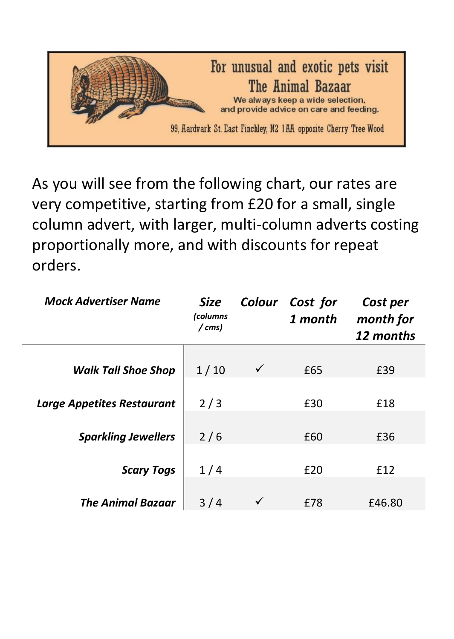

As you will see from the following chart, our rates are very competitive, starting from £20 for a small, single column advert, with larger, multi-column adverts costing proportionally more, and with discounts for repeat orders.

| <b>Mock Advertiser Name</b>       | Size<br>(columns<br>/ cms) | Colour | Cost for<br>1 month | Cost per<br>month for<br>12 months |
|-----------------------------------|----------------------------|--------|---------------------|------------------------------------|
| <b>Walk Tall Shoe Shop</b>        | 1/10                       | ✓      | £65                 | £39                                |
| <b>Large Appetites Restaurant</b> | 2/3                        |        | £30                 | £18                                |
| <b>Sparkling Jewellers</b>        | 2/6                        |        | £60                 | £36                                |
| <b>Scary Togs</b>                 | 1/4                        |        | £20                 | £12                                |
| <b>The Animal Bazaar</b>          | 3/4                        |        | £78                 | £46.80                             |